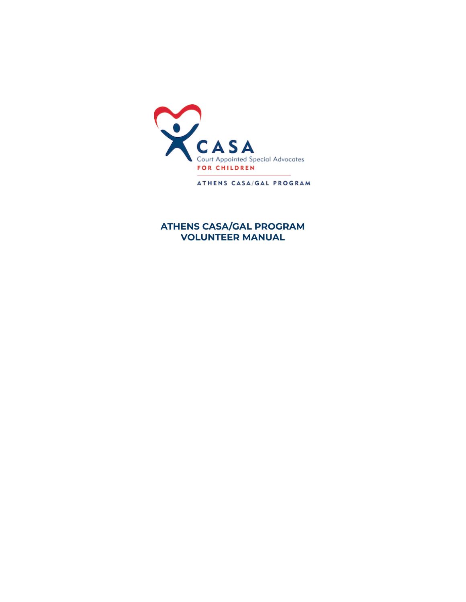

ATHENS CASA/GAL PROGRAM

### **ATHENS CASA/GAL PROGRAM VOLUNTEER MANUAL**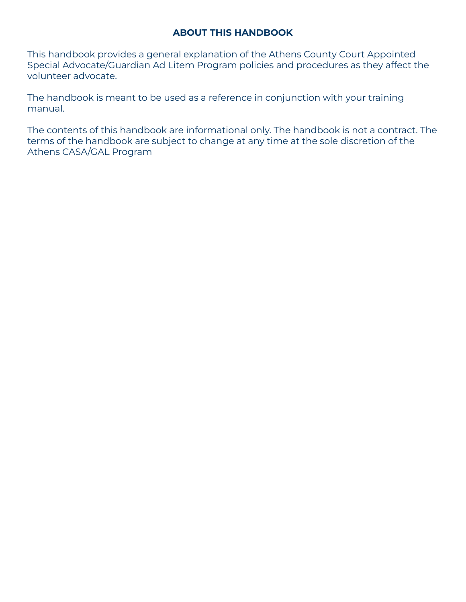### **ABOUT THIS HANDBOOK**

This handbook provides a general explanation of the Athens County Court Appointed Special Advocate/Guardian Ad Litem Program policies and procedures as they affect the volunteer advocate.

The handbook is meant to be used as a reference in conjunction with your training manual.

The contents of this handbook are informational only. The handbook is not a contract. The terms of the handbook are subject to change at any time at the sole discretion of the Athens CASA/GAL Program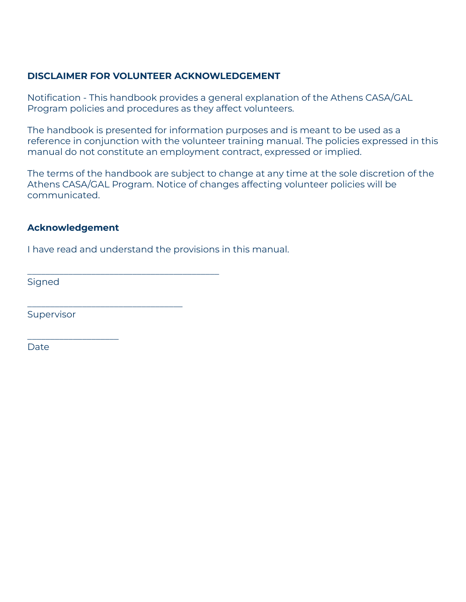### **DISCLAIMER FOR VOLUNTEER ACKNOWLEDGEMENT**

Notification - This handbook provides a general explanation of the Athens CASA/GAL Program policies and procedures as they affect volunteers.

The handbook is presented for information purposes and is meant to be used as a reference in conjunction with the volunteer training manual. The policies expressed in this manual do not constitute an employment contract, expressed or implied.

The terms of the handbook are subject to change at any time at the sole discretion of the Athens CASA/GAL Program. Notice of changes affecting volunteer policies will be communicated.

### **Acknowledgement**

\_\_\_\_\_\_\_\_\_\_\_\_\_\_\_\_\_\_\_\_

I have read and understand the provisions in this manual.

\_\_\_\_\_\_\_\_\_\_\_\_\_\_\_\_\_\_\_\_\_\_\_\_\_\_\_\_\_\_\_\_\_\_\_\_\_\_\_\_\_\_

\_\_\_\_\_\_\_\_\_\_\_\_\_\_\_\_\_\_\_\_\_\_\_\_\_\_\_\_\_\_\_\_\_\_

**Signed** 

**Supervisor** 

Date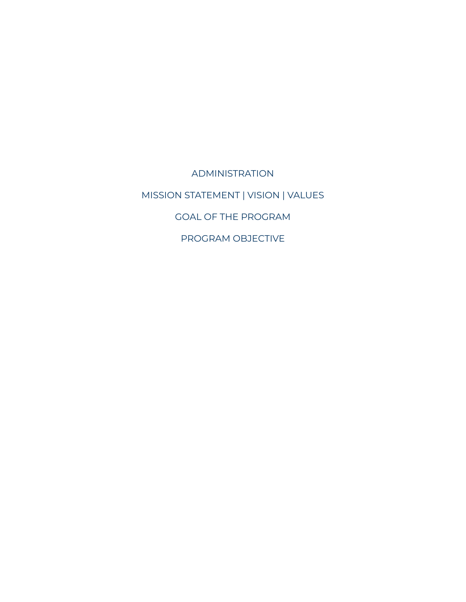ADMINISTRATION MISSION STATEMENT | VISION | VALUES GOAL OF THE PROGRAM PROGRAM OBJECTIVE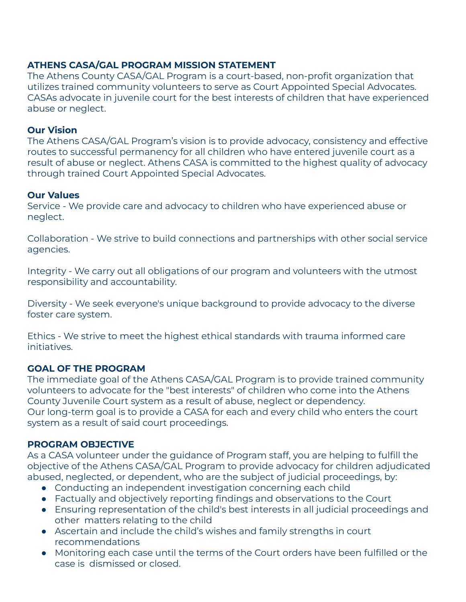### **ATHENS CASA/GAL PROGRAM MISSION STATEMENT**

The Athens County CASA/GAL Program is a court-based, non-profit organization that utilizes trained community volunteers to serve as Court Appointed Special Advocates. CASAs advocate in juvenile court for the best interests of children that have experienced abuse or neglect.

### **Our Vision**

The Athens CASA/GAL Program's vision is to provide advocacy, consistency and effective routes to successful permanency for all children who have entered juvenile court as a result of abuse or neglect. Athens CASA is committed to the highest quality of advocacy through trained Court Appointed Special Advocates.

#### **Our Values**

Service - We provide care and advocacy to children who have experienced abuse or neglect.

Collaboration - We strive to build connections and partnerships with other social service agencies.

Integrity - We carry out all obligations of our program and volunteers with the utmost responsibility and accountability.

Diversity - We seek everyone's unique background to provide advocacy to the diverse foster care system.

Ethics - We strive to meet the highest ethical standards with trauma informed care initiatives.

#### **GOAL OF THE PROGRAM**

The immediate goal of the Athens CASA/GAL Program is to provide trained community volunteers to advocate for the "best interests" of children who come into the Athens County Juvenile Court system as a result of abuse, neglect or dependency. Our long-term goal is to provide a CASA for each and every child who enters the court system as a result of said court proceedings.

#### **PROGRAM OBJECTIVE**

As a CASA volunteer under the guidance of Program staff, you are helping to fulfill the objective of the Athens CASA/GAL Program to provide advocacy for children adjudicated abused, neglected, or dependent, who are the subject of judicial proceedings, by:

- Conducting an independent investigation concerning each child
- Factually and objectively reporting findings and observations to the Court
- Ensuring representation of the child's best interests in all judicial proceedings and other matters relating to the child
- Ascertain and include the child's wishes and family strengths in court recommendations
- Monitoring each case until the terms of the Court orders have been fulfilled or the case is dismissed or closed.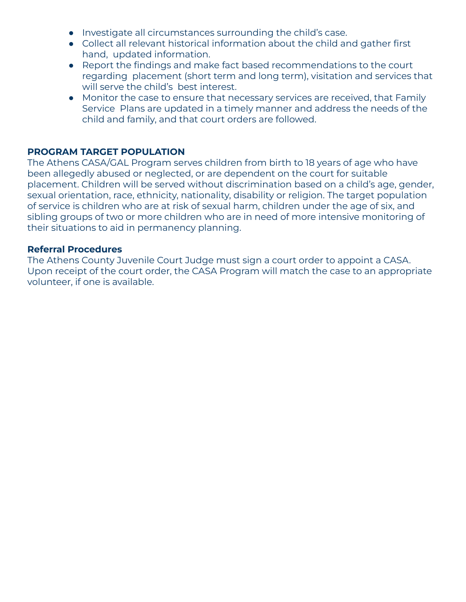- Investigate all circumstances surrounding the child's case.
- Collect all relevant historical information about the child and gather first hand, updated information.
- Report the findings and make fact based recommendations to the court regarding placement (short term and long term), visitation and services that will serve the child's best interest.
- Monitor the case to ensure that necessary services are received, that Family Service Plans are updated in a timely manner and address the needs of the child and family, and that court orders are followed.

### **PROGRAM TARGET POPULATION**

The Athens CASA/GAL Program serves children from birth to 18 years of age who have been allegedly abused or neglected, or are dependent on the court for suitable placement. Children will be served without discrimination based on a child's age, gender, sexual orientation, race, ethnicity, nationality, disability or religion. The target population of service is children who are at risk of sexual harm, children under the age of six, and sibling groups of two or more children who are in need of more intensive monitoring of their situations to aid in permanency planning.

### **Referral Procedures**

The Athens County Juvenile Court Judge must sign a court order to appoint a CASA. Upon receipt of the court order, the CASA Program will match the case to an appropriate volunteer, if one is available.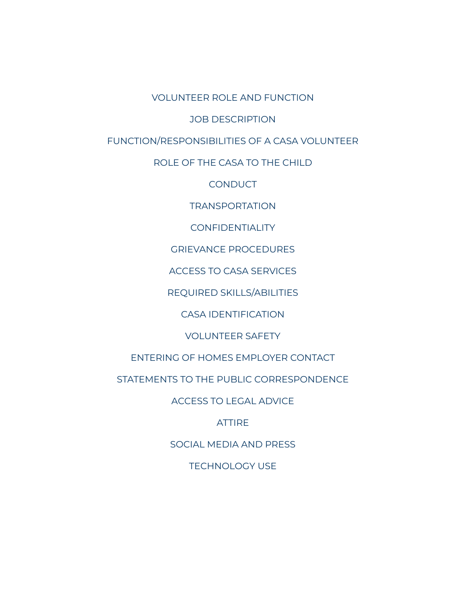VOLUNTEER ROLE AND FUNCTION

JOB DESCRIPTION

FUNCTION/RESPONSIBILITIES OF A CASA VOLUNTEER

ROLE OF THE CASA TO THE CHILD

**CONDUCT** 

TRANSPORTATION

CONFIDENTIALITY

GRIEVANCE PROCEDURES

ACCESS TO CASA SERVICES

REQUIRED SKILLS/ABILITIES

CASA IDENTIFICATION

VOLUNTEER SAFETY

ENTERING OF HOMES EMPLOYER CONTACT

STATEMENTS TO THE PUBLIC CORRESPONDENCE

ACCESS TO LEGAL ADVICE

ATTIRE

SOCIAL MEDIA AND PRESS

TECHNOLOGY USE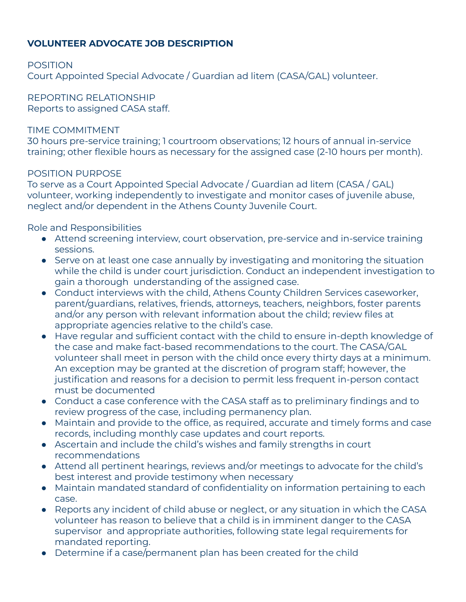### **VOLUNTEER ADVOCATE JOB DESCRIPTION**

POSITION

Court Appointed Special Advocate / Guardian ad litem (CASA/GAL) volunteer.

REPORTING RELATIONSHIP Reports to assigned CASA staff.

### TIME COMMITMENT

30 hours pre-service training; 1 courtroom observations; 12 hours of annual in-service training; other flexible hours as necessary for the assigned case (2-10 hours per month).

### POSITION PURPOSE

To serve as a Court Appointed Special Advocate / Guardian ad litem (CASA / GAL) volunteer, working independently to investigate and monitor cases of juvenile abuse, neglect and/or dependent in the Athens County Juvenile Court.

Role and Responsibilities

- Attend screening interview, court observation, pre-service and in-service training sessions.
- Serve on at least one case annually by investigating and monitoring the situation while the child is under court jurisdiction. Conduct an independent investigation to gain a thorough understanding of the assigned case.
- Conduct interviews with the child, Athens County Children Services caseworker, parent/guardians, relatives, friends, attorneys, teachers, neighbors, foster parents and/or any person with relevant information about the child; review files at appropriate agencies relative to the child's case.
- Have regular and sufficient contact with the child to ensure in-depth knowledge of the case and make fact-based recommendations to the court. The CASA/GAL volunteer shall meet in person with the child once every thirty days at a minimum. An exception may be granted at the discretion of program staff; however, the justification and reasons for a decision to permit less frequent in-person contact must be documented
- Conduct a case conference with the CASA staff as to preliminary findings and to review progress of the case, including permanency plan.
- Maintain and provide to the office, as required, accurate and timely forms and case records, including monthly case updates and court reports.
- Ascertain and include the child's wishes and family strengths in court recommendations
- Attend all pertinent hearings, reviews and/or meetings to advocate for the child's best interest and provide testimony when necessary
- Maintain mandated standard of confidentiality on information pertaining to each case.
- Reports any incident of child abuse or neglect, or any situation in which the CASA volunteer has reason to believe that a child is in imminent danger to the CASA supervisor and appropriate authorities, following state legal requirements for mandated reporting.
- Determine if a case/permanent plan has been created for the child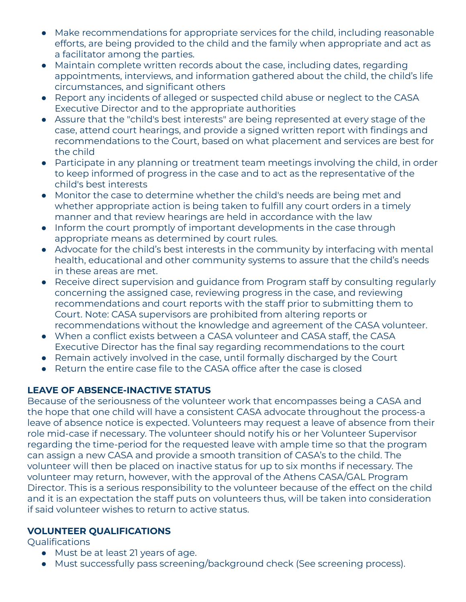- Make recommendations for appropriate services for the child, including reasonable efforts, are being provided to the child and the family when appropriate and act as a facilitator among the parties.
- Maintain complete written records about the case, including dates, regarding appointments, interviews, and information gathered about the child, the child's life circumstances, and significant others
- Report any incidents of alleged or suspected child abuse or neglect to the CASA Executive Director and to the appropriate authorities
- Assure that the "child's best interests" are being represented at every stage of the case, attend court hearings, and provide a signed written report with findings and recommendations to the Court, based on what placement and services are best for the child
- Participate in any planning or treatment team meetings involving the child, in order to keep informed of progress in the case and to act as the representative of the child's best interests
- Monitor the case to determine whether the child's needs are being met and whether appropriate action is being taken to fulfill any court orders in a timely manner and that review hearings are held in accordance with the law
- Inform the court promptly of important developments in the case through appropriate means as determined by court rules.
- Advocate for the child's best interests in the community by interfacing with mental health, educational and other community systems to assure that the child's needs in these areas are met.
- Receive direct supervision and guidance from Program staff by consulting regularly concerning the assigned case, reviewing progress in the case, and reviewing recommendations and court reports with the staff prior to submitting them to Court. Note: CASA supervisors are prohibited from altering reports or recommendations without the knowledge and agreement of the CASA volunteer.
- When a conflict exists between a CASA volunteer and CASA staff, the CASA Executive Director has the final say regarding recommendations to the court
- Remain actively involved in the case, until formally discharged by the Court
- Return the entire case file to the CASA office after the case is closed

## **LEAVE OF ABSENCE-INACTIVE STATUS**

Because of the seriousness of the volunteer work that encompasses being a CASA and the hope that one child will have a consistent CASA advocate throughout the process-a leave of absence notice is expected. Volunteers may request a leave of absence from their role mid-case if necessary. The volunteer should notify his or her Volunteer Supervisor regarding the time-period for the requested leave with ample time so that the program can assign a new CASA and provide a smooth transition of CASA's to the child. The volunteer will then be placed on inactive status for up to six months if necessary. The volunteer may return, however, with the approval of the Athens CASA/GAL Program Director. This is a serious responsibility to the volunteer because of the effect on the child and it is an expectation the staff puts on volunteers thus, will be taken into consideration if said volunteer wishes to return to active status.

# **VOLUNTEER QUALIFICATIONS**

Qualifications

- Must be at least 21 years of age.
- Must successfully pass screening/background check (See screening process).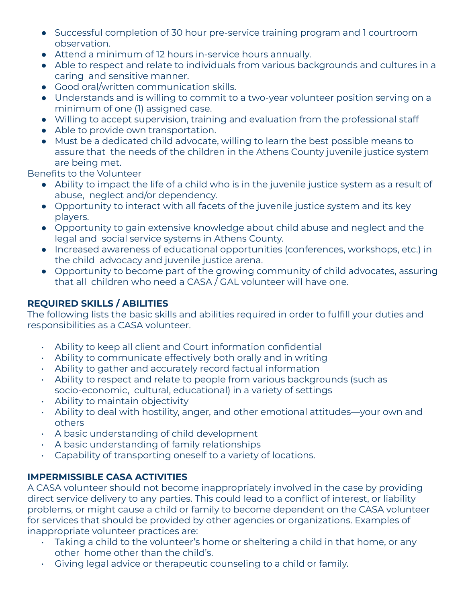- Successful completion of 30 hour pre-service training program and 1 courtroom observation.
- Attend a minimum of 12 hours in-service hours annually.
- Able to respect and relate to individuals from various backgrounds and cultures in a caring and sensitive manner.
- Good oral/written communication skills.
- Understands and is willing to commit to a two-year volunteer position serving on a minimum of one (1) assigned case.
- Willing to accept supervision, training and evaluation from the professional staff
- Able to provide own transportation.
- Must be a dedicated child advocate, willing to learn the best possible means to assure that the needs of the children in the Athens County juvenile justice system are being met.

Benefits to the Volunteer

- Ability to impact the life of a child who is in the juvenile justice system as a result of abuse, neglect and/or dependency.
- Opportunity to interact with all facets of the juvenile justice system and its key players.
- Opportunity to gain extensive knowledge about child abuse and neglect and the legal and social service systems in Athens County.
- Increased awareness of educational opportunities (conferences, workshops, etc.) in the child advocacy and juvenile justice arena.
- Opportunity to become part of the growing community of child advocates, assuring that all children who need a CASA / GAL volunteer will have one.

# **REQUIRED SKILLS / ABILITIES**

The following lists the basic skills and abilities required in order to fulfill your duties and responsibilities as a CASA volunteer.

- Ability to keep all client and Court information confidential
- Ability to communicate effectively both orally and in writing
- Ability to gather and accurately record factual information
- Ability to respect and relate to people from various backgrounds (such as socio-economic, cultural, educational) in a variety of settings
- Ability to maintain objectivity
- Ability to deal with hostility, anger, and other emotional attitudes—your own and others
- A basic understanding of child development
- A basic understanding of family relationships
- Capability of transporting oneself to a variety of locations.

# **IMPERMISSIBLE CASA ACTIVITIES**

A CASA volunteer should not become inappropriately involved in the case by providing direct service delivery to any parties. This could lead to a conflict of interest, or liability problems, or might cause a child or family to become dependent on the CASA volunteer for services that should be provided by other agencies or organizations. Examples of inappropriate volunteer practices are:

- $\cdot$  Taking a child to the volunteer's home or sheltering a child in that home, or any other home other than the child's.
- Giving legal advice or therapeutic counseling to a child or family.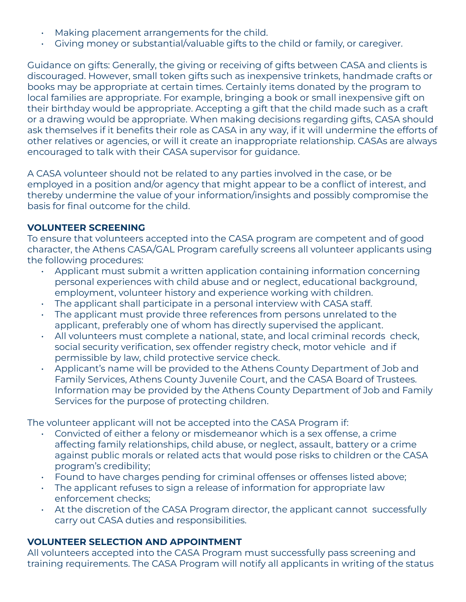- Making placement arrangements for the child.
- Giving money or substantial/valuable gifts to the child or family, or caregiver.

Guidance on gifts: Generally, the giving or receiving of gifts between CASA and clients is discouraged. However, small token gifts such as inexpensive trinkets, handmade crafts or books may be appropriate at certain times. Certainly items donated by the program to local families are appropriate. For example, bringing a book or small inexpensive gift on their birthday would be appropriate. Accepting a gift that the child made such as a craft or a drawing would be appropriate. When making decisions regarding gifts, CASA should ask themselves if it benefits their role as CASA in any way, if it will undermine the efforts of other relatives or agencies, or will it create an inappropriate relationship. CASAs are always encouraged to talk with their CASA supervisor for guidance.

A CASA volunteer should not be related to any parties involved in the case, or be employed in a position and/or agency that might appear to be a conflict of interest, and thereby undermine the value of your information/insights and possibly compromise the basis for final outcome for the child.

### **VOLUNTEER SCREENING**

To ensure that volunteers accepted into the CASA program are competent and of good character, the Athens CASA/GAL Program carefully screens all volunteer applicants using the following procedures:

- Applicant must submit a written application containing information concerning personal experiences with child abuse and or neglect, educational background, employment, volunteer history and experience working with children.
- The applicant shall participate in a personal interview with CASA staff.
- The applicant must provide three references from persons unrelated to the applicant, preferably one of whom has directly supervised the applicant.
- All volunteers must complete a national, state, and local criminal records check, social security verification, sex offender registry check, motor vehicle and if permissible by law, child protective service check.
- Applicant's name will be provided to the Athens County Department of Job and Family Services, Athens County Juvenile Court, and the CASA Board of Trustees. Information may be provided by the Athens County Department of Job and Family Services for the purpose of protecting children.

The volunteer applicant will not be accepted into the CASA Program if:

- Convicted of either a felony or misdemeanor which is a sex offense, a crime affecting family relationships, child abuse, or neglect, assault, battery or a crime against public morals or related acts that would pose risks to children or the CASA program's credibility;
- Found to have charges pending for criminal offenses or offenses listed above;
- The applicant refuses to sign a release of information for appropriate law enforcement checks;
- At the discretion of the CASA Program director, the applicant cannot successfully carry out CASA duties and responsibilities.

### **VOLUNTEER SELECTION AND APPOINTMENT**

All volunteers accepted into the CASA Program must successfully pass screening and training requirements. The CASA Program will notify all applicants in writing of the status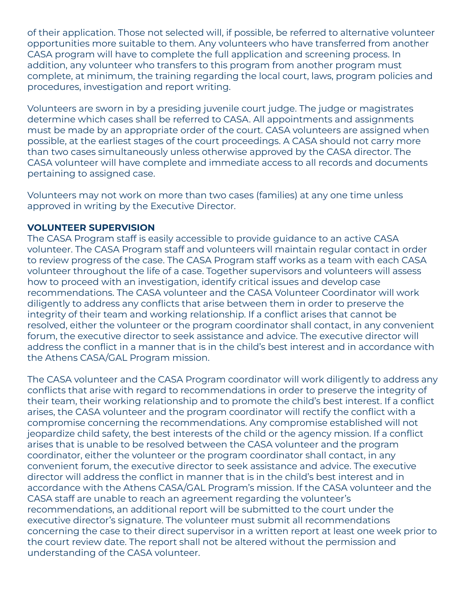of their application. Those not selected will, if possible, be referred to alternative volunteer opportunities more suitable to them. Any volunteers who have transferred from another CASA program will have to complete the full application and screening process. In addition, any volunteer who transfers to this program from another program must complete, at minimum, the training regarding the local court, laws, program policies and procedures, investigation and report writing.

Volunteers are sworn in by a presiding juvenile court judge. The judge or magistrates determine which cases shall be referred to CASA. All appointments and assignments must be made by an appropriate order of the court. CASA volunteers are assigned when possible, at the earliest stages of the court proceedings. A CASA should not carry more than two cases simultaneously unless otherwise approved by the CASA director. The CASA volunteer will have complete and immediate access to all records and documents pertaining to assigned case.

Volunteers may not work on more than two cases (families) at any one time unless approved in writing by the Executive Director.

### **VOLUNTEER SUPERVISION**

The CASA Program staff is easily accessible to provide guidance to an active CASA volunteer. The CASA Program staff and volunteers will maintain regular contact in order to review progress of the case. The CASA Program staff works as a team with each CASA volunteer throughout the life of a case. Together supervisors and volunteers will assess how to proceed with an investigation, identify critical issues and develop case recommendations. The CASA volunteer and the CASA Volunteer Coordinator will work diligently to address any conflicts that arise between them in order to preserve the integrity of their team and working relationship. If a conflict arises that cannot be resolved, either the volunteer or the program coordinator shall contact, in any convenient forum, the executive director to seek assistance and advice. The executive director will address the conflict in a manner that is in the child's best interest and in accordance with the Athens CASA/GAL Program mission.

The CASA volunteer and the CASA Program coordinator will work diligently to address any conflicts that arise with regard to recommendations in order to preserve the integrity of their team, their working relationship and to promote the child's best interest. If a conflict arises, the CASA volunteer and the program coordinator will rectify the conflict with a compromise concerning the recommendations. Any compromise established will not jeopardize child safety, the best interests of the child or the agency mission. If a conflict arises that is unable to be resolved between the CASA volunteer and the program coordinator, either the volunteer or the program coordinator shall contact, in any convenient forum, the executive director to seek assistance and advice. The executive director will address the conflict in manner that is in the child's best interest and in accordance with the Athens CASA/GAL Program's mission. If the CASA volunteer and the CASA staff are unable to reach an agreement regarding the volunteer's recommendations, an additional report will be submitted to the court under the executive director's signature. The volunteer must submit all recommendations concerning the case to their direct supervisor in a written report at least one week prior to the court review date. The report shall not be altered without the permission and understanding of the CASA volunteer.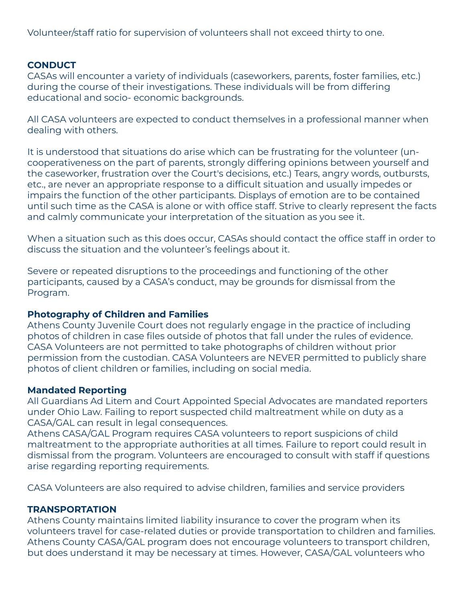Volunteer/staff ratio for supervision of volunteers shall not exceed thirty to one.

### **CONDUCT**

CASAs will encounter a variety of individuals (caseworkers, parents, foster families, etc.) during the course of their investigations. These individuals will be from differing educational and socio- economic backgrounds.

All CASA volunteers are expected to conduct themselves in a professional manner when dealing with others.

It is understood that situations do arise which can be frustrating for the volunteer (uncooperativeness on the part of parents, strongly differing opinions between yourself and the caseworker, frustration over the Court's decisions, etc.) Tears, angry words, outbursts, etc., are never an appropriate response to a difficult situation and usually impedes or impairs the function of the other participants. Displays of emotion are to be contained until such time as the CASA is alone or with office staff. Strive to clearly represent the facts and calmly communicate your interpretation of the situation as you see it.

When a situation such as this does occur, CASAs should contact the office staff in order to discuss the situation and the volunteer's feelings about it.

Severe or repeated disruptions to the proceedings and functioning of the other participants, caused by a CASA's conduct, may be grounds for dismissal from the Program.

#### **Photography of Children and Families**

Athens County Juvenile Court does not regularly engage in the practice of including photos of children in case files outside of photos that fall under the rules of evidence. CASA Volunteers are not permitted to take photographs of children without prior permission from the custodian. CASA Volunteers are NEVER permitted to publicly share photos of client children or families, including on social media.

#### **Mandated Reporting**

All Guardians Ad Litem and Court Appointed Special Advocates are mandated reporters under Ohio Law. Failing to report suspected child maltreatment while on duty as a CASA/GAL can result in legal consequences.

Athens CASA/GAL Program requires CASA volunteers to report suspicions of child maltreatment to the appropriate authorities at all times. Failure to report could result in dismissal from the program. Volunteers are encouraged to consult with staff if questions arise regarding reporting requirements.

CASA Volunteers are also required to advise children, families and service providers

#### **TRANSPORTATION**

Athens County maintains limited liability insurance to cover the program when its volunteers travel for case-related duties or provide transportation to children and families. Athens County CASA/GAL program does not encourage volunteers to transport children, but does understand it may be necessary at times. However, CASA/GAL volunteers who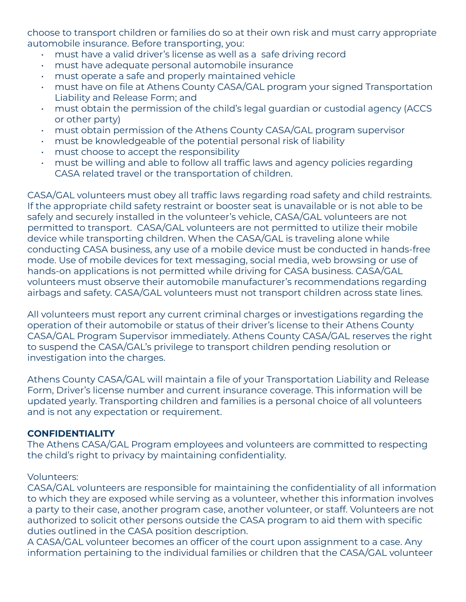choose to transport children or families do so at their own risk and must carry appropriate automobile insurance. Before transporting, you:

- must have a valid driver's license as well as a safe driving record
- must have adequate personal automobile insurance
- must operate a safe and properly maintained vehicle
- must have on file at Athens County CASA/GAL program your signed Transportation Liability and Release Form; and
- must obtain the permission of the child's legal guardian or custodial agency (ACCS or other party)
- must obtain permission of the Athens County CASA/GAL program supervisor
- must be knowledgeable of the potential personal risk of liability
- must choose to accept the responsibility
- must be willing and able to follow all traffic laws and agency policies regarding CASA related travel or the transportation of children.

CASA/GAL volunteers must obey all traffic laws regarding road safety and child restraints. If the appropriate child safety restraint or booster seat is unavailable or is not able to be safely and securely installed in the volunteer's vehicle, CASA/GAL volunteers are not permitted to transport. CASA/GAL volunteers are not permitted to utilize their mobile device while transporting children. When the CASA/GAL is traveling alone while conducting CASA business, any use of a mobile device must be conducted in hands-free mode. Use of mobile devices for text messaging, social media, web browsing or use of hands-on applications is not permitted while driving for CASA business. CASA/GAL volunteers must observe their automobile manufacturer's recommendations regarding airbags and safety. CASA/GAL volunteers must not transport children across state lines.

All volunteers must report any current criminal charges or investigations regarding the operation of their automobile or status of their driver's license to their Athens County CASA/GAL Program Supervisor immediately. Athens County CASA/GAL reserves the right to suspend the CASA/GAL's privilege to transport children pending resolution or investigation into the charges.

Athens County CASA/GAL will maintain a file of your Transportation Liability and Release Form, Driver's license number and current insurance coverage. This information will be updated yearly. Transporting children and families is a personal choice of all volunteers and is not any expectation or requirement.

#### **CONFIDENTIALITY**

The Athens CASA/GAL Program employees and volunteers are committed to respecting the child's right to privacy by maintaining confidentiality.

#### Volunteers:

CASA/GAL volunteers are responsible for maintaining the confidentiality of all information to which they are exposed while serving as a volunteer, whether this information involves a party to their case, another program case, another volunteer, or staff. Volunteers are not authorized to solicit other persons outside the CASA program to aid them with specific duties outlined in the CASA position description.

A CASA/GAL volunteer becomes an officer of the court upon assignment to a case. Any information pertaining to the individual families or children that the CASA/GAL volunteer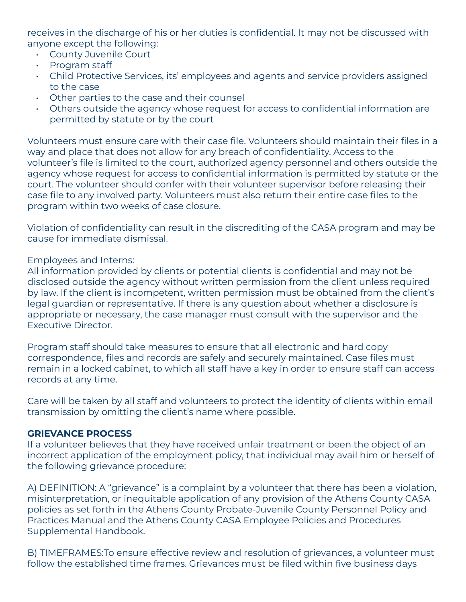receives in the discharge of his or her duties is confidential. It may not be discussed with anyone except the following:

- County Juvenile Court
- Program staff
- Child Protective Services, its' employees and agents and service providers assigned to the case
- Other parties to the case and their counsel
- Others outside the agency whose request for access to confidential information are permitted by statute or by the court

Volunteers must ensure care with their case file. Volunteers should maintain their files in a way and place that does not allow for any breach of confidentiality. Access to the volunteer's file is limited to the court, authorized agency personnel and others outside the agency whose request for access to confidential information is permitted by statute or the court. The volunteer should confer with their volunteer supervisor before releasing their case file to any involved party. Volunteers must also return their entire case files to the program within two weeks of case closure.

Violation of confidentiality can result in the discrediting of the CASA program and may be cause for immediate dismissal.

### Employees and Interns:

All information provided by clients or potential clients is confidential and may not be disclosed outside the agency without written permission from the client unless required by law. If the client is incompetent, written permission must be obtained from the client's legal guardian or representative. If there is any question about whether a disclosure is appropriate or necessary, the case manager must consult with the supervisor and the Executive Director.

Program staff should take measures to ensure that all electronic and hard copy correspondence, files and records are safely and securely maintained. Case files must remain in a locked cabinet, to which all staff have a key in order to ensure staff can access records at any time.

Care will be taken by all staff and volunteers to protect the identity of clients within email transmission by omitting the client's name where possible.

### **GRIEVANCE PROCESS**

If a volunteer believes that they have received unfair treatment or been the object of an incorrect application of the employment policy, that individual may avail him or herself of the following grievance procedure:

A) DEFINITION: A "grievance" is a complaint by a volunteer that there has been a violation, misinterpretation, or inequitable application of any provision of the Athens County CASA policies as set forth in the Athens County Probate-Juvenile County Personnel Policy and Practices Manual and the Athens County CASA Employee Policies and Procedures Supplemental Handbook.

B) TIMEFRAMES:To ensure effective review and resolution of grievances, a volunteer must follow the established time frames. Grievances must be filed within five business days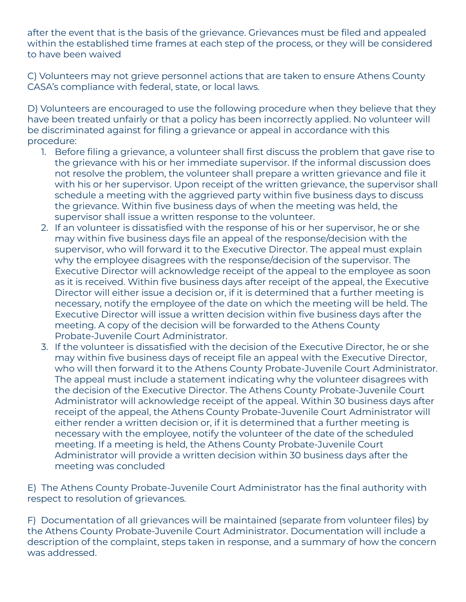after the event that is the basis of the grievance. Grievances must be filed and appealed within the established time frames at each step of the process, or they will be considered to have been waived

C) Volunteers may not grieve personnel actions that are taken to ensure Athens County CASA's compliance with federal, state, or local laws.

D) Volunteers are encouraged to use the following procedure when they believe that they have been treated unfairly or that a policy has been incorrectly applied. No volunteer will be discriminated against for filing a grievance or appeal in accordance with this procedure:

- 1. Before filing a grievance, a volunteer shall first discuss the problem that gave rise to the grievance with his or her immediate supervisor. If the informal discussion does not resolve the problem, the volunteer shall prepare a written grievance and file it with his or her supervisor. Upon receipt of the written grievance, the supervisor shall schedule a meeting with the aggrieved party within five business days to discuss the grievance. Within five business days of when the meeting was held, the supervisor shall issue a written response to the volunteer.
- 2. If an volunteer is dissatisfied with the response of his or her supervisor, he or she may within five business days file an appeal of the response/decision with the supervisor, who will forward it to the Executive Director. The appeal must explain why the employee disagrees with the response/decision of the supervisor. The Executive Director will acknowledge receipt of the appeal to the employee as soon as it is received. Within five business days after receipt of the appeal, the Executive Director will either issue a decision or, if it is determined that a further meeting is necessary, notify the employee of the date on which the meeting will be held. The Executive Director will issue a written decision within five business days after the meeting. A copy of the decision will be forwarded to the Athens County Probate-Juvenile Court Administrator.
- 3. If the volunteer is dissatisfied with the decision of the Executive Director, he or she may within five business days of receipt file an appeal with the Executive Director, who will then forward it to the Athens County Probate-Juvenile Court Administrator. The appeal must include a statement indicating why the volunteer disagrees with the decision of the Executive Director. The Athens County Probate-Juvenile Court Administrator will acknowledge receipt of the appeal. Within 30 business days after receipt of the appeal, the Athens County Probate-Juvenile Court Administrator will either render a written decision or, if it is determined that a further meeting is necessary with the employee, notify the volunteer of the date of the scheduled meeting. If a meeting is held, the Athens County Probate-Juvenile Court Administrator will provide a written decision within 30 business days after the meeting was concluded

E) The Athens County Probate-Juvenile Court Administrator has the final authority with respect to resolution of grievances.

F) Documentation of all grievances will be maintained (separate from volunteer files) by the Athens County Probate-Juvenile Court Administrator. Documentation will include a description of the complaint, steps taken in response, and a summary of how the concern was addressed.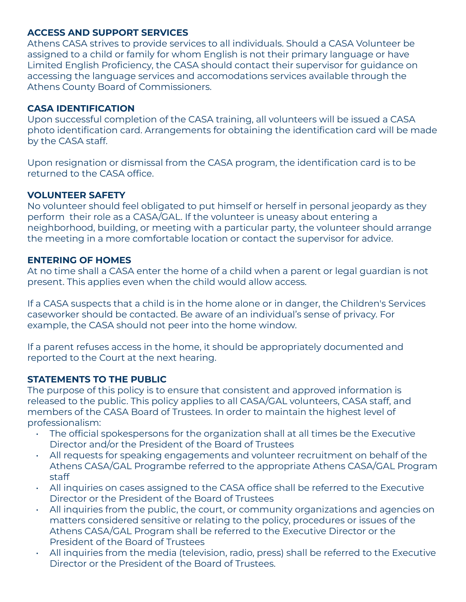### **ACCESS AND SUPPORT SERVICES**

Athens CASA strives to provide services to all individuals. Should a CASA Volunteer be assigned to a child or family for whom English is not their primary language or have Limited English Proficiency, the CASA should contact their supervisor for guidance on accessing the language services and accomodations services available through the Athens County Board of Commissioners.

### **CASA IDENTIFICATION**

Upon successful completion of the CASA training, all volunteers will be issued a CASA photo identification card. Arrangements for obtaining the identification card will be made by the CASA staff.

Upon resignation or dismissal from the CASA program, the identification card is to be returned to the CASA office.

#### **VOLUNTEER SAFETY**

No volunteer should feel obligated to put himself or herself in personal jeopardy as they perform their role as a CASA/GAL. If the volunteer is uneasy about entering a neighborhood, building, or meeting with a particular party, the volunteer should arrange the meeting in a more comfortable location or contact the supervisor for advice.

#### **ENTERING OF HOMES**

At no time shall a CASA enter the home of a child when a parent or legal guardian is not present. This applies even when the child would allow access.

If a CASA suspects that a child is in the home alone or in danger, the Children's Services caseworker should be contacted. Be aware of an individual's sense of privacy. For example, the CASA should not peer into the home window.

If a parent refuses access in the home, it should be appropriately documented and reported to the Court at the next hearing.

### **STATEMENTS TO THE PUBLIC**

The purpose of this policy is to ensure that consistent and approved information is released to the public. This policy applies to all CASA/GAL volunteers, CASA staff, and members of the CASA Board of Trustees. In order to maintain the highest level of professionalism:

- The official spokespersons for the organization shall at all times be the Executive Director and/or the President of the Board of Trustees
- All requests for speaking engagements and volunteer recruitment on behalf of the Athens CASA/GAL Programbe referred to the appropriate Athens CASA/GAL Program staff
- All inquiries on cases assigned to the CASA office shall be referred to the Executive Director or the President of the Board of Trustees
- All inquiries from the public, the court, or community organizations and agencies on matters considered sensitive or relating to the policy, procedures or issues of the Athens CASA/GAL Program shall be referred to the Executive Director or the President of the Board of Trustees
- All inquiries from the media (television, radio, press) shall be referred to the Executive Director or the President of the Board of Trustees.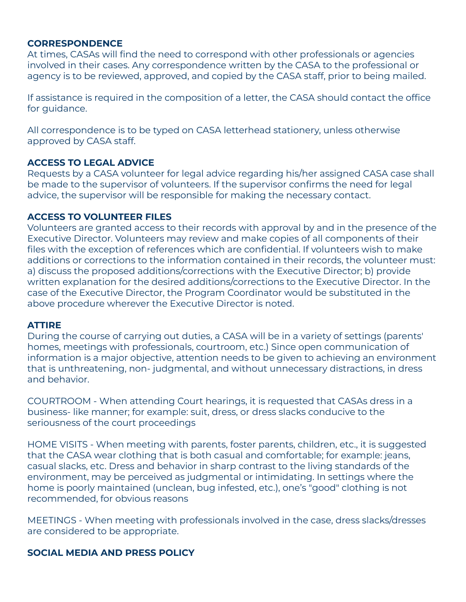#### **CORRESPONDENCE**

At times, CASAs will find the need to correspond with other professionals or agencies involved in their cases. Any correspondence written by the CASA to the professional or agency is to be reviewed, approved, and copied by the CASA staff, prior to being mailed.

If assistance is required in the composition of a letter, the CASA should contact the office for guidance.

All correspondence is to be typed on CASA letterhead stationery, unless otherwise approved by CASA staff.

#### **ACCESS TO LEGAL ADVICE**

Requests by a CASA volunteer for legal advice regarding his/her assigned CASA case shall be made to the supervisor of volunteers. If the supervisor confirms the need for legal advice, the supervisor will be responsible for making the necessary contact.

#### **ACCESS TO VOLUNTEER FILES**

Volunteers are granted access to their records with approval by and in the presence of the Executive Director. Volunteers may review and make copies of all components of their files with the exception of references which are confidential. If volunteers wish to make additions or corrections to the information contained in their records, the volunteer must: a) discuss the proposed additions/corrections with the Executive Director; b) provide written explanation for the desired additions/corrections to the Executive Director. In the case of the Executive Director, the Program Coordinator would be substituted in the above procedure wherever the Executive Director is noted.

#### **ATTIRE**

During the course of carrying out duties, a CASA will be in a variety of settings (parents' homes, meetings with professionals, courtroom, etc.) Since open communication of information is a major objective, attention needs to be given to achieving an environment that is unthreatening, non- judgmental, and without unnecessary distractions, in dress and behavior.

COURTROOM - When attending Court hearings, it is requested that CASAs dress in a business- like manner; for example: suit, dress, or dress slacks conducive to the seriousness of the court proceedings

HOME VISITS - When meeting with parents, foster parents, children, etc., it is suggested that the CASA wear clothing that is both casual and comfortable; for example: jeans, casual slacks, etc. Dress and behavior in sharp contrast to the living standards of the environment, may be perceived as judgmental or intimidating. In settings where the home is poorly maintained (unclean, bug infested, etc.), one's "good" clothing is not recommended, for obvious reasons

MEETINGS - When meeting with professionals involved in the case, dress slacks/dresses are considered to be appropriate.

#### **SOCIAL MEDIA AND PRESS POLICY**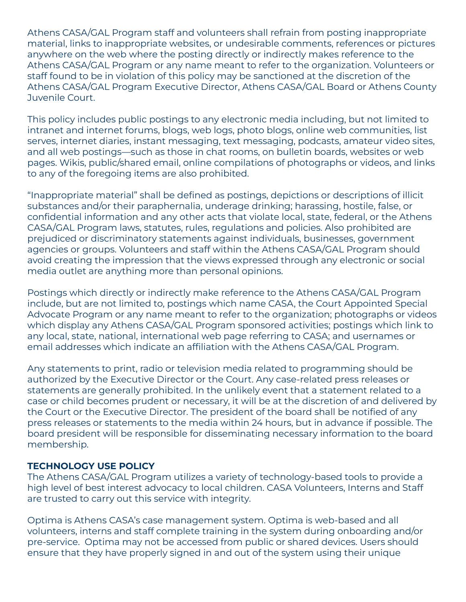Athens CASA/GAL Program staff and volunteers shall refrain from posting inappropriate material, links to inappropriate websites, or undesirable comments, references or pictures anywhere on the web where the posting directly or indirectly makes reference to the Athens CASA/GAL Program or any name meant to refer to the organization. Volunteers or staff found to be in violation of this policy may be sanctioned at the discretion of the Athens CASA/GAL Program Executive Director, Athens CASA/GAL Board or Athens County Juvenile Court.

This policy includes public postings to any electronic media including, but not limited to intranet and internet forums, blogs, web logs, photo blogs, online web communities, list serves, internet diaries, instant messaging, text messaging, podcasts, amateur video sites, and all web postings—such as those in chat rooms, on bulletin boards, websites or web pages. Wikis, public/shared email, online compilations of photographs or videos, and links to any of the foregoing items are also prohibited.

"Inappropriate material" shall be defined as postings, depictions or descriptions of illicit substances and/or their paraphernalia, underage drinking; harassing, hostile, false, or confidential information and any other acts that violate local, state, federal, or the Athens CASA/GAL Program laws, statutes, rules, regulations and policies. Also prohibited are prejudiced or discriminatory statements against individuals, businesses, government agencies or groups. Volunteers and staff within the Athens CASA/GAL Program should avoid creating the impression that the views expressed through any electronic or social media outlet are anything more than personal opinions.

Postings which directly or indirectly make reference to the Athens CASA/GAL Program include, but are not limited to, postings which name CASA, the Court Appointed Special Advocate Program or any name meant to refer to the organization; photographs or videos which display any Athens CASA/GAL Program sponsored activities; postings which link to any local, state, national, international web page referring to CASA; and usernames or email addresses which indicate an affiliation with the Athens CASA/GAL Program.

Any statements to print, radio or television media related to programming should be authorized by the Executive Director or the Court. Any case-related press releases or statements are generally prohibited. In the unlikely event that a statement related to a case or child becomes prudent or necessary, it will be at the discretion of and delivered by the Court or the Executive Director. The president of the board shall be notified of any press releases or statements to the media within 24 hours, but in advance if possible. The board president will be responsible for disseminating necessary information to the board membership.

#### **TECHNOLOGY USE POLICY**

The Athens CASA/GAL Program utilizes a variety of technology-based tools to provide a high level of best interest advocacy to local children. CASA Volunteers, Interns and Staff are trusted to carry out this service with integrity.

Optima is Athens CASA's case management system. Optima is web-based and all volunteers, interns and staff complete training in the system during onboarding and/or pre-service. Optima may not be accessed from public or shared devices. Users should ensure that they have properly signed in and out of the system using their unique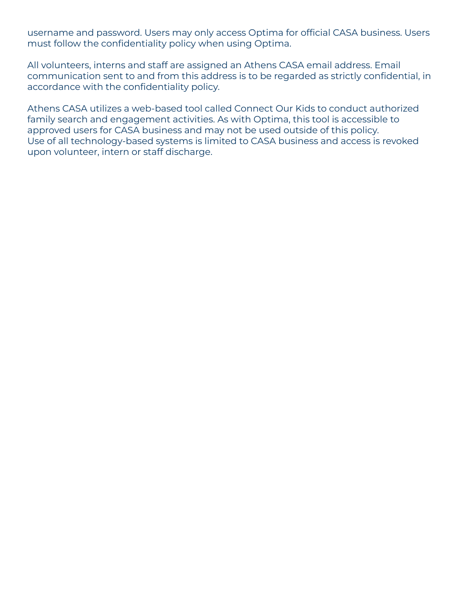username and password. Users may only access Optima for official CASA business. Users must follow the confidentiality policy when using Optima.

All volunteers, interns and staff are assigned an Athens CASA email address. Email communication sent to and from this address is to be regarded as strictly confidential, in accordance with the confidentiality policy.

Athens CASA utilizes a web-based tool called Connect Our Kids to conduct authorized family search and engagement activities. As with Optima, this tool is accessible to approved users for CASA business and may not be used outside of this policy. Use of all technology-based systems is limited to CASA business and access is revoked upon volunteer, intern or staff discharge.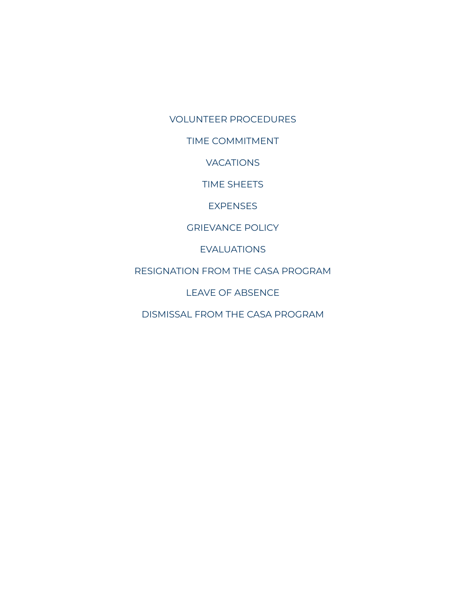VOLUNTEER PROCEDURES

TIME COMMITMENT

VACATIONS

TIME SHEETS

**EXPENSES** 

GRIEVANCE POLICY

EVALUATIONS

RESIGNATION FROM THE CASA PROGRAM

LEAVE OF ABSENCE

DISMISSAL FROM THE CASA PROGRAM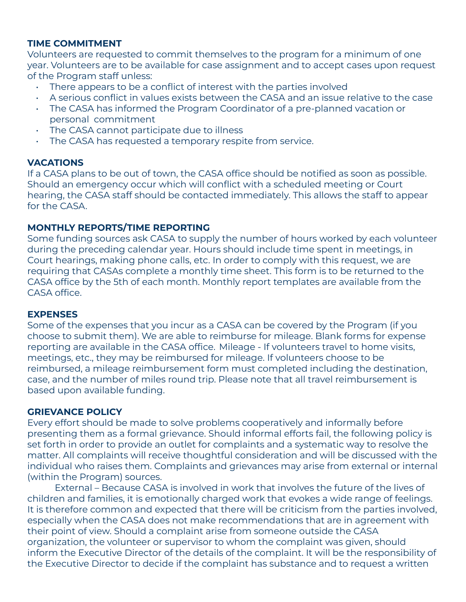### **TIME COMMITMENT**

Volunteers are requested to commit themselves to the program for a minimum of one year. Volunteers are to be available for case assignment and to accept cases upon request of the Program staff unless:

- There appears to be a conflict of interest with the parties involved
- A serious conflict in values exists between the CASA and an issue relative to the case
- The CASA has informed the Program Coordinator of a pre-planned vacation or personal commitment
- The CASA cannot participate due to illness
- The CASA has requested a temporary respite from service.

### **VACATIONS**

If a CASA plans to be out of town, the CASA office should be notified as soon as possible. Should an emergency occur which will conflict with a scheduled meeting or Court hearing, the CASA staff should be contacted immediately. This allows the staff to appear for the CASA.

### **MONTHLY REPORTS/TIME REPORTING**

Some funding sources ask CASA to supply the number of hours worked by each volunteer during the preceding calendar year. Hours should include time spent in meetings, in Court hearings, making phone calls, etc. In order to comply with this request, we are requiring that CASAs complete a monthly time sheet. This form is to be returned to the CASA office by the 5th of each month. Monthly report templates are available from the CASA office.

#### **EXPENSES**

Some of the expenses that you incur as a CASA can be covered by the Program (if you choose to submit them). We are able to reimburse for mileage. Blank forms for expense reporting are available in the CASA office. Mileage - If volunteers travel to home visits, meetings, etc., they may be reimbursed for mileage. If volunteers choose to be reimbursed, a mileage reimbursement form must completed including the destination, case, and the number of miles round trip. Please note that all travel reimbursement is based upon available funding.

### **GRIEVANCE POLICY**

Every effort should be made to solve problems cooperatively and informally before presenting them as a formal grievance. Should informal efforts fail, the following policy is set forth in order to provide an outlet for complaints and a systematic way to resolve the matter. All complaints will receive thoughtful consideration and will be discussed with the individual who raises them. Complaints and grievances may arise from external or internal (within the Program) sources.

External – Because CASA is involved in work that involves the future of the lives of children and families, it is emotionally charged work that evokes a wide range of feelings. It is therefore common and expected that there will be criticism from the parties involved, especially when the CASA does not make recommendations that are in agreement with their point of view. Should a complaint arise from someone outside the CASA organization, the volunteer or supervisor to whom the complaint was given, should inform the Executive Director of the details of the complaint. It will be the responsibility of the Executive Director to decide if the complaint has substance and to request a written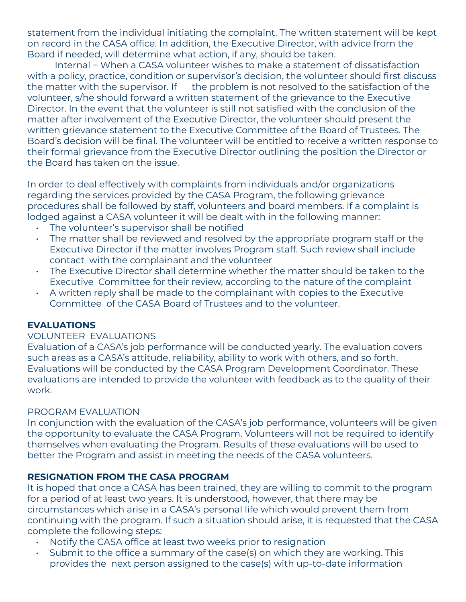statement from the individual initiating the complaint. The written statement will be kept on record in the CASA office. In addition, the Executive Director, with advice from the Board if needed, will determine what action, if any, should be taken.

Internal − When a CASA volunteer wishes to make a statement of dissatisfaction with a policy, practice, condition or supervisor's decision, the volunteer should first discuss the matter with the supervisor. If the problem is not resolved to the satisfaction of the volunteer, s/he should forward a written statement of the grievance to the Executive Director. In the event that the volunteer is still not satisfied with the conclusion of the matter after involvement of the Executive Director, the volunteer should present the written grievance statement to the Executive Committee of the Board of Trustees. The Board's decision will be final. The volunteer will be entitled to receive a written response to their formal grievance from the Executive Director outlining the position the Director or the Board has taken on the issue.

In order to deal effectively with complaints from individuals and/or organizations regarding the services provided by the CASA Program, the following grievance procedures shall be followed by staff, volunteers and board members. If a complaint is lodged against a CASA volunteer it will be dealt with in the following manner:

- The volunteer's supervisor shall be notified
- The matter shall be reviewed and resolved by the appropriate program staff or the Executive Director if the matter involves Program staff. Such review shall include contact with the complainant and the volunteer
- The Executive Director shall determine whether the matter should be taken to the Executive Committee for their review, according to the nature of the complaint
- A written reply shall be made to the complainant with copies to the Executive Committee of the CASA Board of Trustees and to the volunteer.

#### **EVALUATIONS**

#### VOLUNTEER EVALUATIONS

Evaluation of a CASA's job performance will be conducted yearly. The evaluation covers such areas as a CASA's attitude, reliability, ability to work with others, and so forth. Evaluations will be conducted by the CASA Program Development Coordinator. These evaluations are intended to provide the volunteer with feedback as to the quality of their work.

### PROGRAM EVALUATION

In conjunction with the evaluation of the CASA's job performance, volunteers will be given the opportunity to evaluate the CASA Program. Volunteers will not be required to identify themselves when evaluating the Program. Results of these evaluations will be used to better the Program and assist in meeting the needs of the CASA volunteers.

### **RESIGNATION FROM THE CASA PROGRAM**

It is hoped that once a CASA has been trained, they are willing to commit to the program for a period of at least two years. It is understood, however, that there may be circumstances which arise in a CASA's personal life which would prevent them from continuing with the program. If such a situation should arise, it is requested that the CASA complete the following steps:

- Notify the CASA office at least two weeks prior to resignation
- Submit to the office a summary of the case(s) on which they are working. This provides the next person assigned to the case(s) with up-to-date information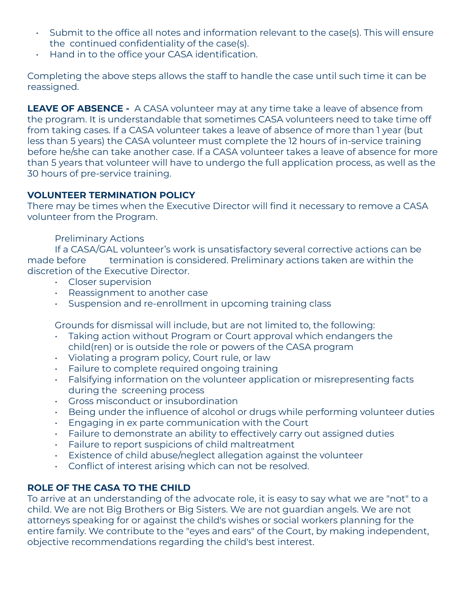- Submit to the office all notes and information relevant to the case(s). This will ensure the continued confidentiality of the case(s).
- Hand in to the office your CASA identification.

Completing the above steps allows the staff to handle the case until such time it can be reassigned.

**LEAVE OF ABSENCE -** A CASA volunteer may at any time take a leave of absence from the program. It is understandable that sometimes CASA volunteers need to take time off from taking cases. If a CASA volunteer takes a leave of absence of more than 1 year (but less than 5 years) the CASA volunteer must complete the 12 hours of in-service training before he/she can take another case. If a CASA volunteer takes a leave of absence for more than 5 years that volunteer will have to undergo the full application process, as well as the 30 hours of pre-service training.

### **VOLUNTEER TERMINATION POLICY**

There may be times when the Executive Director will find it necessary to remove a CASA volunteer from the Program.

### Preliminary Actions

If a CASA/GAL volunteer's work is unsatisfactory several corrective actions can be made before termination is considered. Preliminary actions taken are within the discretion of the Executive Director.

- Closer supervision
- Reassignment to another case
- Suspension and re-enrollment in upcoming training class

Grounds for dismissal will include, but are not limited to, the following:

- Taking action without Program or Court approval which endangers the child(ren) or is outside the role or powers of the CASA program
- Violating a program policy, Court rule, or law
- Failure to complete required ongoing training
- Falsifying information on the volunteer application or misrepresenting facts during the screening process
- Gross misconduct or insubordination
- Being under the influence of alcohol or drugs while performing volunteer duties
- Engaging in ex parte communication with the Court
- Failure to demonstrate an ability to effectively carry out assigned duties
- Failure to report suspicions of child maltreatment
- Existence of child abuse/neglect allegation against the volunteer
- Conflict of interest arising which can not be resolved.

## **ROLE OF THE CASA TO THE CHILD**

To arrive at an understanding of the advocate role, it is easy to say what we are "not" to a child. We are not Big Brothers or Big Sisters. We are not guardian angels. We are not attorneys speaking for or against the child's wishes or social workers planning for the entire family. We contribute to the "eyes and ears" of the Court, by making independent, objective recommendations regarding the child's best interest.